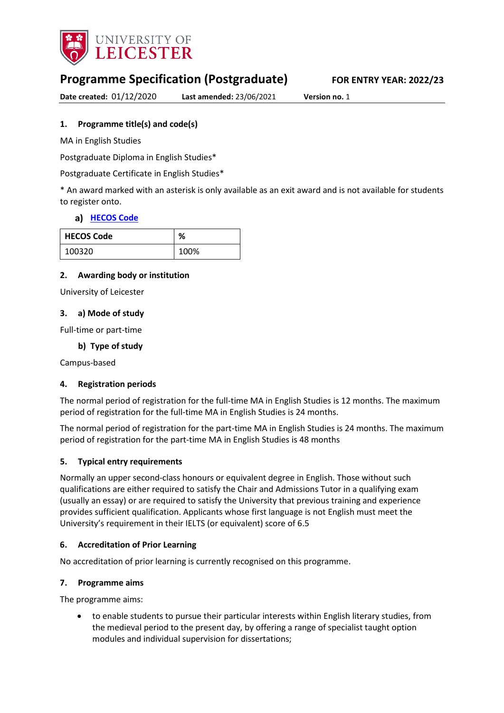

# **Programme Specification (Postgraduate) FOR ENTRY YEAR: 2022/23**

**Date created:** 01/12/2020 **Last amended:** 23/06/2021 **Version no.** 1

## <span id="page-0-0"></span>**1. Programme title(s) and code(s)**

MA in English Studies

Postgraduate Diploma in English Studies\*

Postgraduate Certificate in English Studies\*

\* An award marked with an asterisk is only available as an exit award and is not available for students to register onto.

### **[HECOS Code](https://www.hesa.ac.uk/innovation/hecos)**

| <b>HECOS Code</b> | $\mathbf{a}$<br>70 |
|-------------------|--------------------|
| 100320            | 100%               |

#### **2. Awarding body or institution**

University of Leicester

#### **3. a) Mode of study**

Full-time or part-time

#### **b) Type of study**

Campus-based

### **4. Registration periods**

The normal period of registration for the full-time MA in English Studies is 12 months. The maximum period of registration for the full-time MA in English Studies is 24 months.

The normal period of registration for the part-time MA in English Studies is 24 months. The maximum period of registration for the part-time MA in English Studies is 48 months

#### **5. Typical entry requirements**

Normally an upper second-class honours or equivalent degree in English. Those without such qualifications are either required to satisfy the Chair and Admissions Tutor in a qualifying exam (usually an essay) or are required to satisfy the University that previous training and experience provides sufficient qualification. Applicants whose first language is not English must meet the University's requirement in their IELTS (or equivalent) score of 6.5

#### **6. Accreditation of Prior Learning**

No accreditation of prior learning is currently recognised on this programme.

#### **7. Programme aims**

The programme aims:

• to enable students to pursue their particular interests within English literary studies, from the medieval period to the present day, by offering a range of specialist taught option modules and individual supervision for dissertations;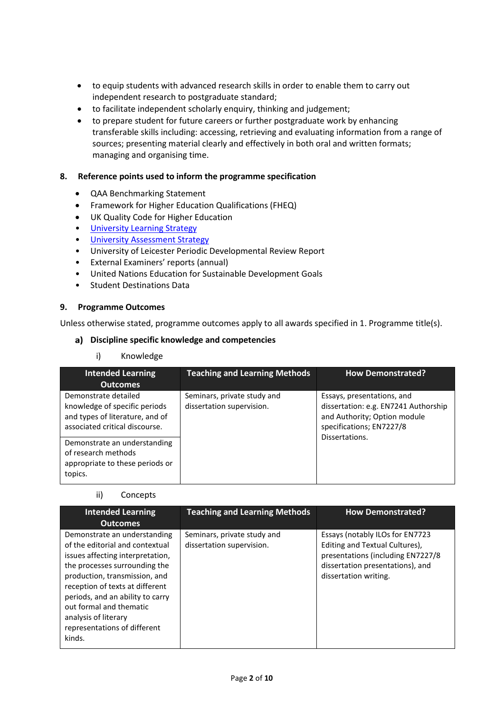- to equip students with advanced research skills in order to enable them to carry out independent research to postgraduate standard;
- to facilitate independent scholarly enquiry, thinking and judgement;
- to prepare student for future careers or further postgraduate work by enhancing transferable skills including: accessing, retrieving and evaluating information from a range of sources; presenting material clearly and effectively in both oral and written formats; managing and organising time.

#### **8. Reference points used to inform the programme specification**

- QAA Benchmarking Statement
- Framework for Higher Education Qualifications (FHEQ)
- UK Quality Code for Higher Education
- [University Learning](https://www2.le.ac.uk/offices/sas2/quality/learnteach) Strategy
- [University Assessment Strategy](https://www2.le.ac.uk/offices/sas2/quality/learnteach)
- University of Leicester Periodic Developmental Review Report
- External Examiners' reports (annual)
- United Nations Education for Sustainable Development Goals
- Student Destinations Data

#### **9. Programme Outcomes**

Unless otherwise stated, programme outcomes apply to all awards specified in [1.](#page-0-0) Programme title(s).

#### **Discipline specific knowledge and competencies**

i) Knowledge

| <b>Intended Learning</b><br><b>Outcomes</b>                                                                                | <b>Teaching and Learning Methods</b>                     | <b>How Demonstrated?</b>                                                                                                       |
|----------------------------------------------------------------------------------------------------------------------------|----------------------------------------------------------|--------------------------------------------------------------------------------------------------------------------------------|
| Demonstrate detailed<br>knowledge of specific periods<br>and types of literature, and of<br>associated critical discourse. | Seminars, private study and<br>dissertation supervision. | Essays, presentations, and<br>dissertation: e.g. EN7241 Authorship<br>and Authority; Option module<br>specifications; EN7227/8 |
| Demonstrate an understanding<br>of research methods<br>appropriate to these periods or<br>topics.                          |                                                          | Dissertations.                                                                                                                 |

#### ii) Concepts

| <b>Intended Learning</b><br><b>Outcomes</b>                                                                                                                                                                                                                                                                                               | <b>Teaching and Learning Methods</b>                     | <b>How Demonstrated?</b>                                                                                                                                            |
|-------------------------------------------------------------------------------------------------------------------------------------------------------------------------------------------------------------------------------------------------------------------------------------------------------------------------------------------|----------------------------------------------------------|---------------------------------------------------------------------------------------------------------------------------------------------------------------------|
| Demonstrate an understanding<br>of the editorial and contextual<br>issues affecting interpretation,<br>the processes surrounding the<br>production, transmission, and<br>reception of texts at different<br>periods, and an ability to carry<br>out formal and thematic<br>analysis of literary<br>representations of different<br>kinds. | Seminars, private study and<br>dissertation supervision. | Essays (notably ILOs for EN7723<br>Editing and Textual Cultures),<br>presentations (including EN7227/8<br>dissertation presentations), and<br>dissertation writing. |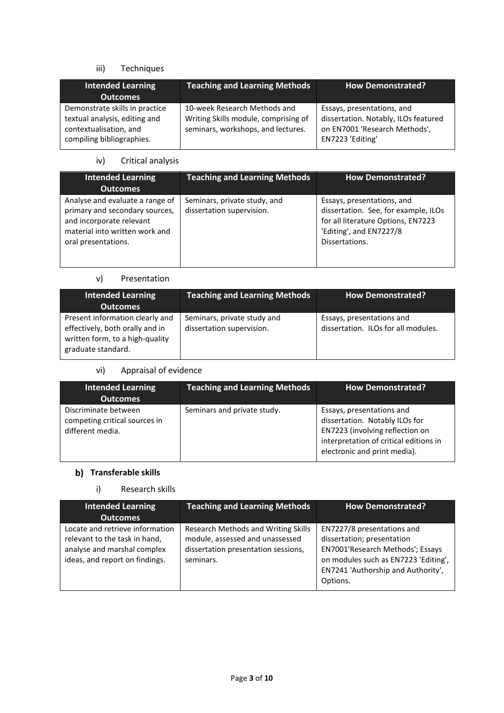# iii) Techniques

| <b>Intended Learning</b><br><b>Outcomes</b>                                                                            | <b>Teaching and Learning Methods</b>                                                                       | <b>How Demonstrated?</b>                                                                                                |
|------------------------------------------------------------------------------------------------------------------------|------------------------------------------------------------------------------------------------------------|-------------------------------------------------------------------------------------------------------------------------|
| Demonstrate skills in practice<br>textual analysis, editing and<br>contextualisation, and<br>compiling bibliographies. | 10-week Research Methods and<br>Writing Skills module, comprising of<br>seminars, workshops, and lectures. | Essays, presentations, and<br>dissertation. Notably, ILOs featured<br>on EN7001 'Research Methods',<br>EN7223 'Editing' |

iv) Critical analysis

| <b>Intended Learning</b><br><b>Outcomes</b>                                                                                                            | <b>Teaching and Learning Methods</b>                      | <b>How Demonstrated?</b>                                                                                                                              |
|--------------------------------------------------------------------------------------------------------------------------------------------------------|-----------------------------------------------------------|-------------------------------------------------------------------------------------------------------------------------------------------------------|
| Analyse and evaluate a range of<br>primary and secondary sources,<br>and incorporate relevant<br>material into written work and<br>oral presentations. | Seminars, private study, and<br>dissertation supervision. | Essays, presentations, and<br>dissertation. See, for example, ILOs<br>for all literature Options, EN7223<br>'Editing', and EN7227/8<br>Dissertations. |

### v) Presentation

| <b>Intended Learning</b><br><b>Outcomes</b>                                                                                 | <b>Teaching and Learning Methods</b>                     | <b>How Demonstrated?</b>                                         |
|-----------------------------------------------------------------------------------------------------------------------------|----------------------------------------------------------|------------------------------------------------------------------|
| Present information clearly and<br>effectively, both orally and in<br>written form, to a high-quality<br>graduate standard. | Seminars, private study and<br>dissertation supervision. | Essays, presentations and<br>dissertation. ILOs for all modules. |

# vi) Appraisal of evidence

| <b>Intended Learning</b><br><b>Outcomes</b>                               | <b>Teaching and Learning Methods</b> | <b>How Demonstrated?</b>                                                                                                                                                 |
|---------------------------------------------------------------------------|--------------------------------------|--------------------------------------------------------------------------------------------------------------------------------------------------------------------------|
| Discriminate between<br>competing critical sources in<br>different media. | Seminars and private study.          | Essays, presentations and<br>dissertation. Notably ILOs for<br>EN7223 (involving reflection on<br>interpretation of critical editions in<br>electronic and print media). |

# **b)** Transferable skills

# i) Research skills

| <b>Intended Learning</b><br><b>Outcomes</b>                                                                                       | <b>Teaching and Learning Methods</b>                                                                                       | <b>How Demonstrated?</b>                                                                                                                                                               |
|-----------------------------------------------------------------------------------------------------------------------------------|----------------------------------------------------------------------------------------------------------------------------|----------------------------------------------------------------------------------------------------------------------------------------------------------------------------------------|
| Locate and retrieve information<br>relevant to the task in hand,<br>analyse and marshal complex<br>ideas, and report on findings. | Research Methods and Writing Skills<br>module, assessed and unassessed<br>dissertation presentation sessions,<br>seminars. | EN7227/8 presentations and<br>dissertation; presentation<br>EN7001'Research Methods'; Essays<br>on modules such as EN7223 'Editing',<br>EN7241 'Authorship and Authority',<br>Options. |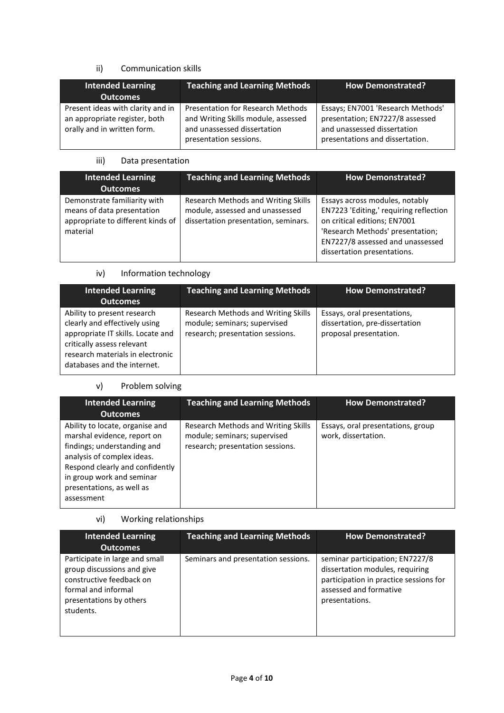## ii) Communication skills

| <b>Intended Learning</b><br><b>Outcomes</b>                                                       | <b>Teaching and Learning Methods</b>                                                                                                     | <b>How Demonstrated?</b>                                                                                                               |
|---------------------------------------------------------------------------------------------------|------------------------------------------------------------------------------------------------------------------------------------------|----------------------------------------------------------------------------------------------------------------------------------------|
| Present ideas with clarity and in<br>an appropriate register, both<br>orally and in written form. | <b>Presentation for Research Methods</b><br>and Writing Skills module, assessed<br>and unassessed dissertation<br>presentation sessions. | Essays; EN7001 'Research Methods'<br>presentation; EN7227/8 assessed<br>and unassessed dissertation<br>presentations and dissertation. |

# iii) Data presentation

| <b>Intended Learning</b><br><b>Outcomes</b>                                                                 | <b>Teaching and Learning Methods</b>                                                                           | <b>How Demonstrated?</b>                                                                                                                                                                                        |
|-------------------------------------------------------------------------------------------------------------|----------------------------------------------------------------------------------------------------------------|-----------------------------------------------------------------------------------------------------------------------------------------------------------------------------------------------------------------|
| Demonstrate familiarity with<br>means of data presentation<br>appropriate to different kinds of<br>material | Research Methods and Writing Skills<br>module, assessed and unassessed<br>dissertation presentation, seminars. | Essays across modules, notably<br>EN7223 'Editing,' requiring reflection<br>on critical editions; EN7001<br>'Research Methods' presentation;<br>EN7227/8 assessed and unassessed<br>dissertation presentations. |

## iv) Information technology

| <b>Intended Learning</b><br><b>Outcomes</b>                                                                                                                                                        | <b>Teaching and Learning Methods</b>                                                                    | How Demonstrated?                                                                       |
|----------------------------------------------------------------------------------------------------------------------------------------------------------------------------------------------------|---------------------------------------------------------------------------------------------------------|-----------------------------------------------------------------------------------------|
| Ability to present research<br>clearly and effectively using<br>appropriate IT skills. Locate and<br>critically assess relevant<br>research materials in electronic<br>databases and the internet. | Research Methods and Writing Skills<br>module; seminars; supervised<br>research; presentation sessions. | Essays, oral presentations,<br>dissertation, pre-dissertation<br>proposal presentation. |

# v) Problem solving

| <b>Intended Learning</b><br><b>Outcomes</b>                                                                                                                                                                                            | <b>Teaching and Learning Methods</b>                                                                    | <b>How Demonstrated?</b>                                 |
|----------------------------------------------------------------------------------------------------------------------------------------------------------------------------------------------------------------------------------------|---------------------------------------------------------------------------------------------------------|----------------------------------------------------------|
| Ability to locate, organise and<br>marshal evidence, report on<br>findings; understanding and<br>analysis of complex ideas.<br>Respond clearly and confidently<br>in group work and seminar<br>presentations, as well as<br>assessment | Research Methods and Writing Skills<br>module; seminars; supervised<br>research; presentation sessions. | Essays, oral presentations, group<br>work, dissertation. |

# vi) Working relationships

| <b>Intended Learning</b><br><b>Outcomes</b>                                                                                                             | <b>Teaching and Learning Methods</b> | <b>How Demonstrated?</b>                                                                                                                                 |
|---------------------------------------------------------------------------------------------------------------------------------------------------------|--------------------------------------|----------------------------------------------------------------------------------------------------------------------------------------------------------|
| Participate in large and small<br>group discussions and give<br>constructive feedback on<br>formal and informal<br>presentations by others<br>students. | Seminars and presentation sessions.  | seminar participation; EN7227/8<br>dissertation modules, requiring<br>participation in practice sessions for<br>assessed and formative<br>presentations. |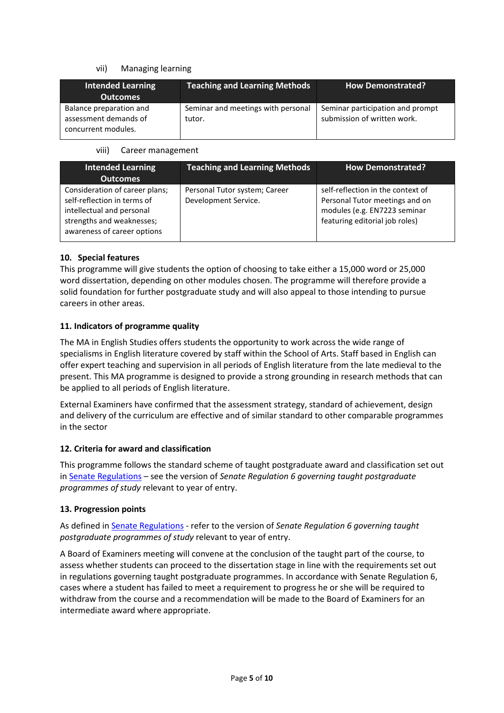#### vii) Managing learning

| <b>Intended Learning</b><br><b>Outcomes</b>                             | <b>Teaching and Learning Methods</b>         | <b>How Demonstrated?</b>                                        |
|-------------------------------------------------------------------------|----------------------------------------------|-----------------------------------------------------------------|
| Balance preparation and<br>assessment demands of<br>concurrent modules. | Seminar and meetings with personal<br>tutor. | Seminar participation and prompt<br>submission of written work. |

#### viii) Career management

| Intended Learning<br><b>Outcomes</b>                                                                                                                   | <b>Teaching and Learning Methods</b>                  | <b>How Demonstrated?</b>                                                                                                              |
|--------------------------------------------------------------------------------------------------------------------------------------------------------|-------------------------------------------------------|---------------------------------------------------------------------------------------------------------------------------------------|
| Consideration of career plans;<br>self-reflection in terms of<br>intellectual and personal<br>strengths and weaknesses;<br>awareness of career options | Personal Tutor system; Career<br>Development Service. | self-reflection in the context of<br>Personal Tutor meetings and on<br>modules (e.g. EN7223 seminar<br>featuring editorial job roles) |

### **10. Special features**

This programme will give students the option of choosing to take either a 15,000 word or 25,000 word dissertation, depending on other modules chosen. The programme will therefore provide a solid foundation for further postgraduate study and will also appeal to those intending to pursue careers in other areas.

### **11. Indicators of programme quality**

The MA in English Studies offers students the opportunity to work across the wide range of specialisms in English literature covered by staff within the School of Arts. Staff based in English can offer expert teaching and supervision in all periods of English literature from the late medieval to the present. This MA programme is designed to provide a strong grounding in research methods that can be applied to all periods of English literature.

External Examiners have confirmed that the assessment strategy, standard of achievement, design and delivery of the curriculum are effective and of similar standard to other comparable programmes in the sector

### **12. Criteria for award and classification**

This programme follows the standard scheme of taught postgraduate award and classification set out i[n Senate Regulations](http://www.le.ac.uk/senate-regulations) – see the version of *Senate Regulation 6 governing taught postgraduate programmes of study* relevant to year of entry.

#### **13. Progression points**

As defined i[n Senate Regulations](http://www.le.ac.uk/senate-regulation6) - refer to the version of *Senate Regulation 6 governing taught postgraduate programmes of study* relevant to year of entry.

A Board of Examiners meeting will convene at the conclusion of the taught part of the course, to assess whether students can proceed to the dissertation stage in line with the requirements set out in regulations governing taught postgraduate programmes. In accordance with Senate Regulation 6, cases where a student has failed to meet a requirement to progress he or she will be required to withdraw from the course and a recommendation will be made to the Board of Examiners for an intermediate award where appropriate.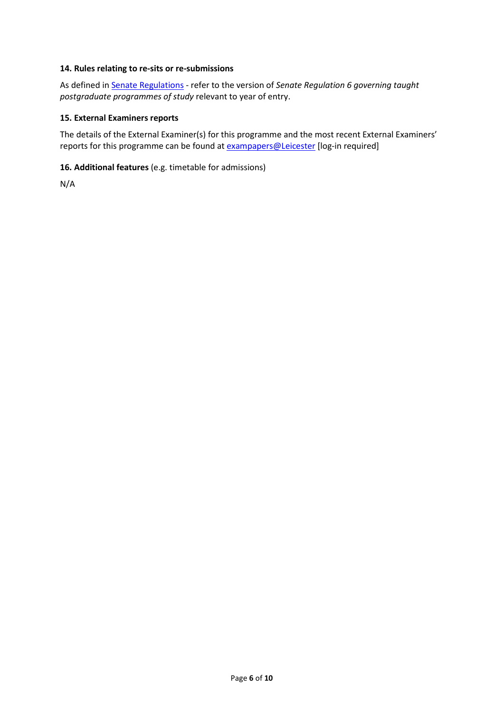#### **14. Rules relating to re-sits or re-submissions**

As defined i[n Senate Regulations](http://www.le.ac.uk/senate-regulation6) - refer to the version of *Senate Regulation 6 governing taught postgraduate programmes of study* relevant to year of entry.

#### **15. External Examiners reports**

The details of the External Examiner(s) for this programme and the most recent External Examiners' reports for this programme can be found at **exampapers@Leicester** [log-in required]

#### **16. Additional features** (e.g. timetable for admissions)

N/A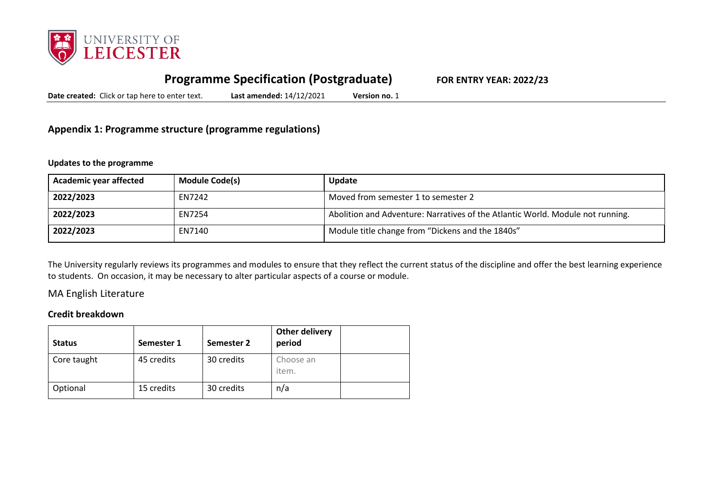

# **Programme Specification (Postgraduate) FOR ENTRY YEAR: 2022/23**

**Date created:** Click or tap here to enter text. **Last amended:** 14/12/2021 **Version no.** 1

# **Appendix 1: Programme structure (programme regulations)**

#### **Updates to the programme**

| <b>Academic year affected</b> | <b>Module Code(s)</b> | Update                                                                         |
|-------------------------------|-----------------------|--------------------------------------------------------------------------------|
| 2022/2023                     | EN7242                | Moved from semester 1 to semester 2                                            |
| 2022/2023                     | EN7254                | Abolition and Adventure: Narratives of the Atlantic World. Module not running. |
| 2022/2023                     | EN7140                | Module title change from "Dickens and the 1840s"                               |

The University regularly reviews its programmes and modules to ensure that they reflect the current status of the discipline and offer the best learning experience to students. On occasion, it may be necessary to alter particular aspects of a course or module.

# MA English Literature

### **Credit breakdown**

| <b>Status</b> | Semester 1 | Semester 2 | Other delivery<br>period |  |
|---------------|------------|------------|--------------------------|--|
| Core taught   | 45 credits | 30 credits | Choose an<br>item.       |  |
| Optional      | 15 credits | 30 credits | n/a                      |  |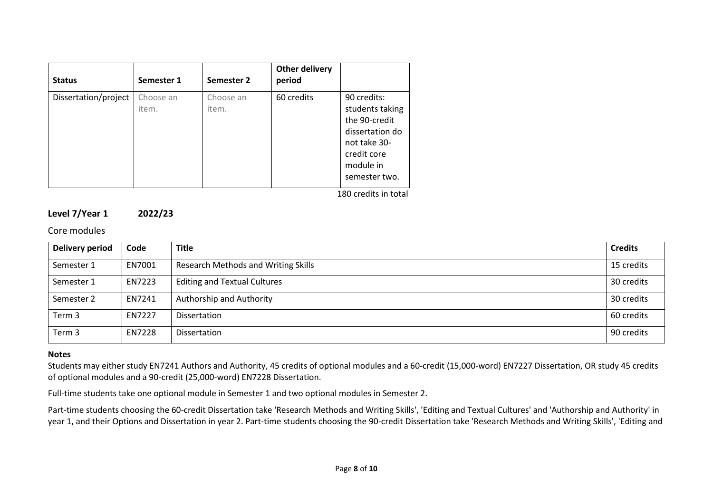| <b>Status</b>        | Semester 1         | Semester 2         | <b>Other delivery</b><br>period |                                                                                                                                 |
|----------------------|--------------------|--------------------|---------------------------------|---------------------------------------------------------------------------------------------------------------------------------|
| Dissertation/project | Choose an<br>item. | Choose an<br>item. | 60 credits                      | 90 credits:<br>students taking<br>the 90-credit<br>dissertation do<br>not take 30-<br>credit core<br>module in<br>semester two. |

180 credits in total

### **Level 7/Year 1 2022/23**

#### Core modules

| Delivery period | Code   | <b>Title</b>                               | <b>Credits</b> |
|-----------------|--------|--------------------------------------------|----------------|
| Semester 1      | EN7001 | <b>Research Methods and Writing Skills</b> | 15 credits     |
| Semester 1      | EN7223 | <b>Editing and Textual Cultures</b>        | 30 credits     |
| Semester 2      | EN7241 | Authorship and Authority                   | 30 credits     |
| Term 3          | EN7227 | Dissertation                               | 60 credits     |
| Term 3          | EN7228 | <b>Dissertation</b>                        | 90 credits     |

#### **Notes**

Students may either study EN7241 Authors and Authority, 45 credits of optional modules and a 60-credit (15,000-word) EN7227 Dissertation, OR study 45 credits of optional modules and a 90-credit (25,000-word) EN7228 Dissertation.

Full-time students take one optional module in Semester 1 and two optional modules in Semester 2.

Part-time students choosing the 60-credit Dissertation take 'Research Methods and Writing Skills', 'Editing and Textual Cultures' and 'Authorship and Authority' in year 1, and their Options and Dissertation in year 2. Part-time students choosing the 90-credit Dissertation take 'Research Methods and Writing Skills', 'Editing and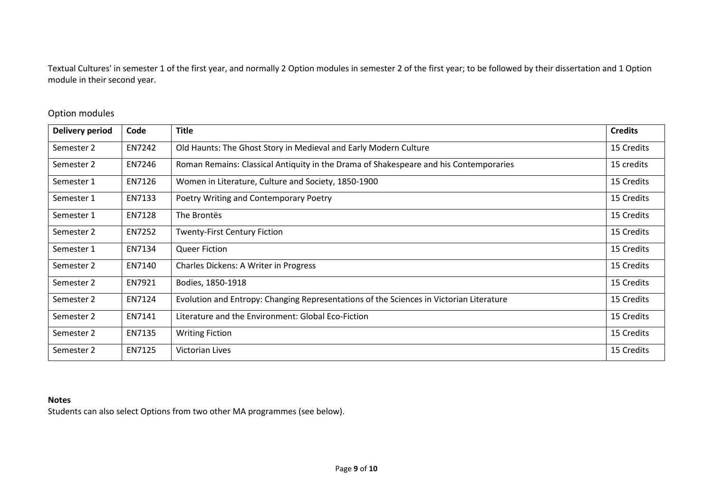Textual Cultures' in semester 1 of the first year, and normally 2 Option modules in semester 2 of the first year; to be followed by their dissertation and 1 Option module in their second year.

## Option modules

| Delivery period | Code   | <b>Title</b>                                                                            | <b>Credits</b> |
|-----------------|--------|-----------------------------------------------------------------------------------------|----------------|
| Semester 2      | EN7242 | Old Haunts: The Ghost Story in Medieval and Early Modern Culture                        | 15 Credits     |
| Semester 2      | EN7246 | Roman Remains: Classical Antiquity in the Drama of Shakespeare and his Contemporaries   | 15 credits     |
| Semester 1      | EN7126 | Women in Literature, Culture and Society, 1850-1900                                     | 15 Credits     |
| Semester 1      | EN7133 | Poetry Writing and Contemporary Poetry                                                  | 15 Credits     |
| Semester 1      | EN7128 | The Brontes                                                                             | 15 Credits     |
| Semester 2      | EN7252 | <b>Twenty-First Century Fiction</b>                                                     | 15 Credits     |
| Semester 1      | EN7134 | <b>Queer Fiction</b>                                                                    | 15 Credits     |
| Semester 2      | EN7140 | <b>Charles Dickens: A Writer in Progress</b>                                            | 15 Credits     |
| Semester 2      | EN7921 | Bodies, 1850-1918                                                                       | 15 Credits     |
| Semester 2      | EN7124 | Evolution and Entropy: Changing Representations of the Sciences in Victorian Literature | 15 Credits     |
| Semester 2      | EN7141 | Literature and the Environment: Global Eco-Fiction                                      | 15 Credits     |
| Semester 2      | EN7135 | <b>Writing Fiction</b>                                                                  | 15 Credits     |
| Semester 2      | EN7125 | Victorian Lives                                                                         | 15 Credits     |

#### **Notes**

Students can also select Options from two other MA programmes (see below).